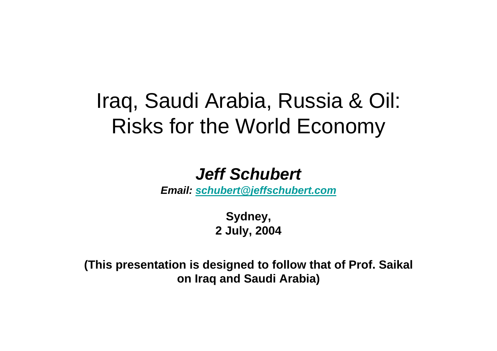# Iraq, Saudi Arabia, Russia & Oil: Risks for the World Economy

#### *Jeff Schubert*

*Email: schubert@jeffschubert.com*

**Sydney, 2 July, 2004**

**(This presentation is designed to follow that of Prof. Saikal on Iraq and Saudi Arabia)**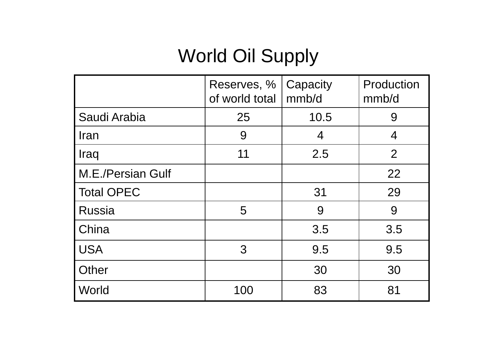# World Oil Supply

|                   | Reserves, %<br>of world total | Capacity<br>mmb/d | Production<br>mmb/d |
|-------------------|-------------------------------|-------------------|---------------------|
| Saudi Arabia      | 25                            | 10.5              | 9                   |
| <b>Iran</b>       | 9                             | 4                 | 4                   |
| Iraq              | 11                            | 2.5               | $\overline{2}$      |
| M.E./Persian Gulf |                               |                   | 22                  |
| <b>Total OPEC</b> |                               | 31                | 29                  |
| <b>Russia</b>     | 5                             | 9                 | 9                   |
| China             |                               | 3.5               | 3.5                 |
| <b>USA</b>        | 3                             | 9.5               | 9.5                 |
| Other             |                               | 30                | 30                  |
| World             | 100                           | 83                | 81                  |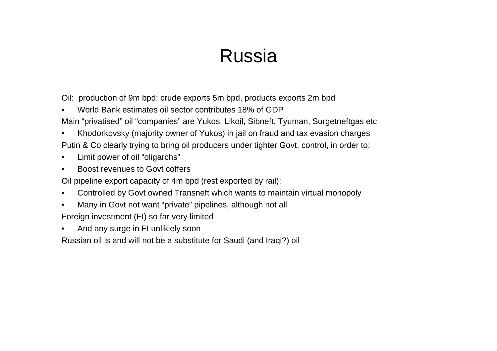## Russia

Oil: production of 9m bpd; crude exports 5m bpd, products exports 2m bpd

- •World Bank estimates oil sector contributes 18% of GDP
- Main "privatised" oil "companies" are Yukos, Likoil, Sibneft, Tyuman, Surgetneftgas etc
- • Khodorkovsky (majority owner of Yukos) in jail on fraud and tax evasion charges Putin & Co clearly trying to bring oil producers under tighter Govt. control, in order to:
- •Limit power of oil "oligarchs"
- •Boost revenues to Govt coffers

Oil pipeline export capacity of 4m bpd (rest exported by rail):

- •Controlled by Govt owned Transneft which wants to maintain virtual monopoly
- •Many in Govt not want "private" pipelines, although not all

Foreign investment (FI) so far very limited

•And any surge in FI unliklely soon

Russian oil is and will not be a substitute for Saudi (and Iraqi?) oil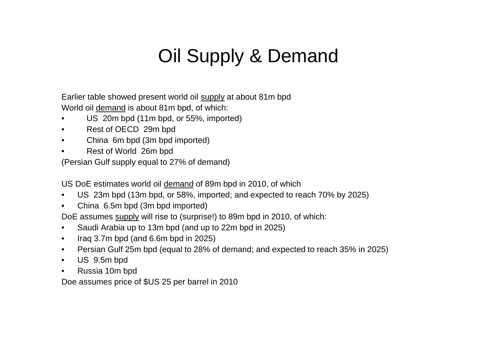# Oil Supply & Demand

Earlier table showed present world oil supply at about 81m bpd World oil demand is about 81m bpd, of which:

- •US 20m bpd (11m bpd, or 55%, imported)
- •Rest of OECD 29m bpd
- •China 6m bpd (3m bpd imported)
- •Rest of World 26m bpd

(Persian Gulf supply equal to 27% of demand)

US DoE estimates world oil demand of 89m bpd in 2010, of which

- $\bullet$ US 23m bpd (13m bpd, or 58%, imported; and expected to reach 70% by 2025)
- $\bullet$ China 6.5m bpd (3m bpd imported)

DoE assumes supply will rise to (surprise!) to 89m bpd in 2010, of which:

- •Saudi Arabia up to 13m bpd (and up to 22m bpd in 2025)
- •Iraq 3.7m bpd (and 6.6m bpd in 2025)
- $\bullet$ Persian Gulf 25m bpd (equal to 28% of demand; and expected to reach 35% in 2025)
- $\bullet$ US 9.5m bpd
- •Russia 10m bpd

Doe assumes price of \$US 25 per barrel in 2010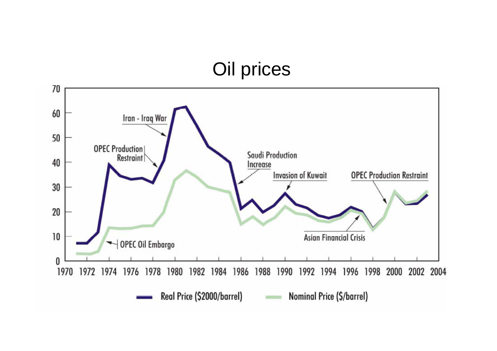#### Oil prices

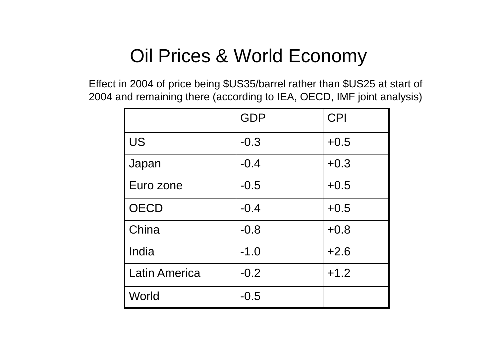### Oil Prices & World Economy

Effect in 2004 of price being \$US35/barrel rather than \$US25 at start of 2004 and remaining there (according to IEA, OECD, IMF joint analysis)

|                      | <b>GDP</b> | <b>CPI</b> |
|----------------------|------------|------------|
| <b>US</b>            | $-0.3$     | $+0.5$     |
| Japan                | $-0.4$     | $+0.3$     |
| Euro zone            | $-0.5$     | $+0.5$     |
| <b>OECD</b>          | $-0.4$     | $+0.5$     |
| China                | $-0.8$     | $+0.8$     |
| India                | $-1.0$     | $+2.6$     |
| <b>Latin America</b> | $-0.2$     | $+1.2$     |
| World                | $-0.5$     |            |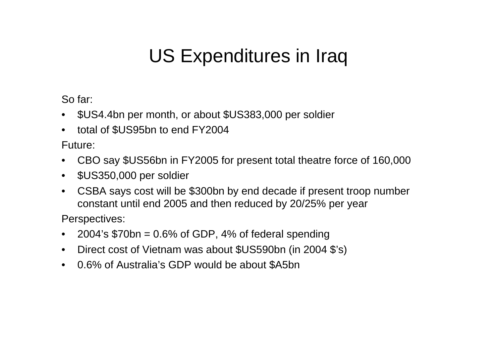## US Expenditures in Iraq

So far:

- \$US4.4bn per month, or about \$US383,000 per soldier
- •total of \$US95bn to end FY2004

Future:

- $\bullet$ CBO say \$US56bn in FY2005 for present total theatre force of 160,000
- $\bullet$ \$US350,000 per soldier
- $\bullet$  CSBA says cost will be \$300bn by end decade if present troop number constant until end 2005 and then reduced by 20/25% per year

Perspectives:

- •2004's \$70bn = 0.6% of GDP, 4% of federal spending
- Direct cost of Vietnam was about \$US590bn (in 2004 \$'s)
- 0.6% of Australia's GDP would be about \$A5bn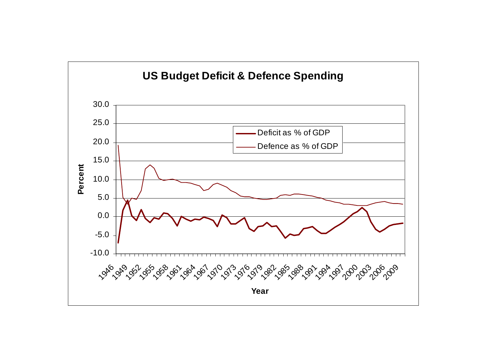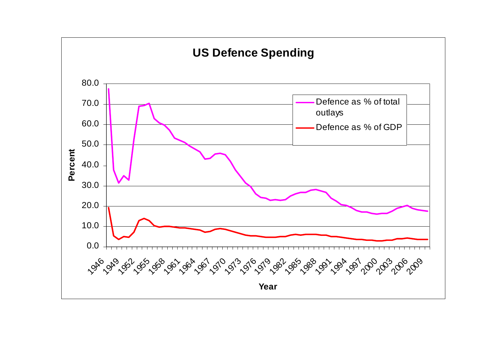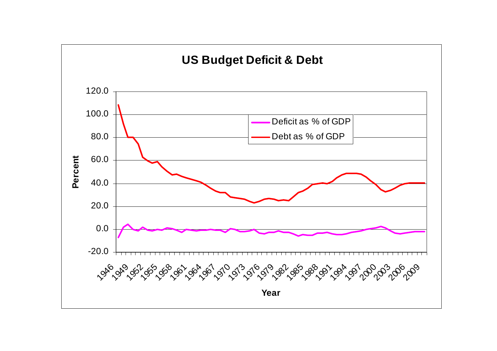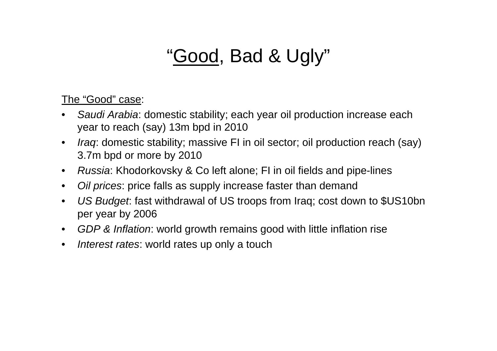## "Good, Bad & Ugly"

The "Good" case:

- $\bullet$  *Saudi Arabia*: domestic stability; each year oil production increase each year to reach (say) 13m bpd in 2010
- $\bullet$  *Iraq*: domestic stability; massive FI in oil sector; oil production reach (say) 3.7m bpd or more by 2010
- $\bullet$ *Russia*: Khodorkovsky & Co left alone; FI in oil fields and pipe-lines
- $\bullet$ *Oil prices*: price falls as supply increase faster than demand
- $\bullet$  *US Budget*: fast withdrawal of US troops from Iraq; cost down to \$US10bn per year by 2006
- *GDP & Inflation*: world growth remains good with little inflation rise
- $\bullet$ *Interest rates*: world rates up only a touch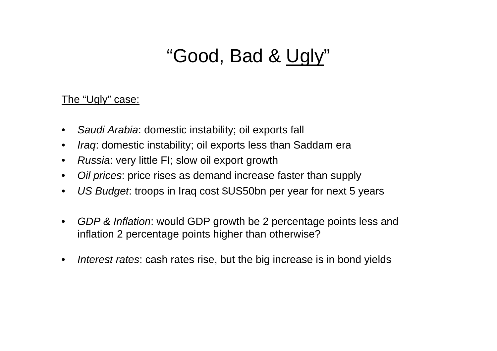## "Good, Bad & Ugly"

#### The "Ugly" case:

- $\bullet$ *Saudi Arabia*: domestic instability; oil exports fall
- $\bullet$ *Iraq*: domestic instability; oil exports less than Saddam era
- $\bullet$ *Russia*: very little FI; slow oil export growth
- $\bullet$ *Oil prices*: price rises as demand increase faster than supply
- $\bullet$ *US Budget*: troops in Iraq cost \$US50bn per year for next 5 years
- $\bullet$  *GDP & Inflation*: would GDP growth be 2 percentage points less and inflation 2 percentage points higher than otherwise?
- $\bullet$ *Interest rates*: cash rates rise, but the big increase is in bond yields